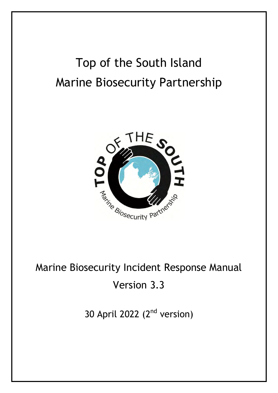# Top of the South Island Marine Biosecurity Partnership



# Marine Biosecurity Incident Response Manual Version 3.3

30 April 2022 (2<sup>nd</sup> version)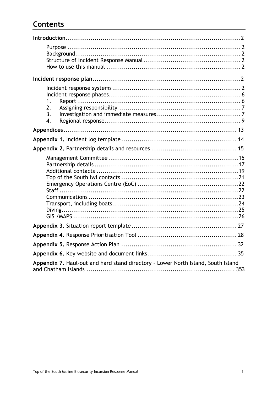## **Contents**

| 1.<br>2.<br>3.<br>$\overline{4}$ .                                               |
|----------------------------------------------------------------------------------|
|                                                                                  |
|                                                                                  |
|                                                                                  |
|                                                                                  |
|                                                                                  |
|                                                                                  |
|                                                                                  |
|                                                                                  |
| Appendix 7. Haul-out and hard stand directory - Lower North Island, South Island |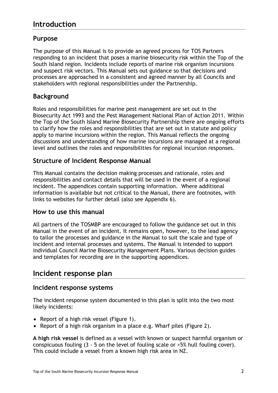## <span id="page-2-0"></span>**Introduction**

## <span id="page-2-1"></span>**Purpose**

The purpose of this Manual is to provide an agreed process for TOS Partners responding to an incident that poses a marine biosecurity risk within the Top of the South Island region. Incidents include reports of marine risk organism incursions and suspect risk vectors. This Manual sets out guidance so that decisions and processes are approached in a consistent and agreed manner by all Councils and stakeholders with regional responsibilities under the Partnership.

## <span id="page-2-2"></span>**Background**

Roles and responsibilities for marine pest management are set out in the Biosecurity Act 1993 and the Pest Management National Plan of Action 2011. Within the Top of the South Island Marine Biosecurity Partnership there are ongoing efforts to clarify how the roles and responsibilities that are set out in statute and policy apply to marine incursions within the region. This Manual reflects the ongoing discussions and understanding of how marine incursions are managed at a regional level and outlines the roles and responsibilities for regional incursion responses.

## <span id="page-2-3"></span>**Structure of Incident Response Manual**

This Manual contains the decision making processes and rationale, roles and responsibilities and contact details that will be used in the event of a regional incident. The appendices contain supporting information. Where additional information is available but not critical to the Manual, there are footnotes, with links to websites for further detail (also see Appendix 6).

## <span id="page-2-4"></span>**How to use this manual**

All partners of the TOSMBP are encouraged to follow the guidance set out in this Manual in the event of an incident. It remains open, however, to the lead agency to tailor the processes and guidance in the Manual to suit the scale and type of incident and internal processes and systems. The Manual is intended to support individual Council Marine Biosecurity Management Plans. Various decision guides and templates for recording are in the supporting appendices.

## <span id="page-2-5"></span>**Incident response plan**

## <span id="page-2-6"></span>**Incident response systems**

The incident response system documented in this plan is split into the two most likely incidents:

- Report of a high risk vessel (Figure 1).
- Report of a high risk organism in a place e.g. Wharf piles (Figure 2).

**A high risk vessel** is defined as a vessel with known or suspect harmful organism or conspicuous fouling (3 - 5 on the level of fouling scale or >5% hull fouling cover). This could include a vessel from a known high risk area in NZ.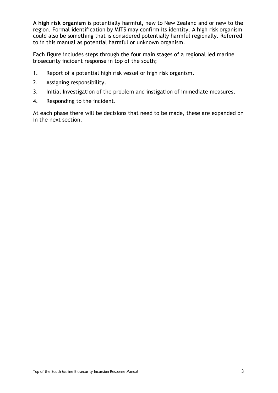**A high risk organism** is potentially harmful, new to New Zealand and or new to the region. Formal identification by MITS may confirm its identity. A high risk organism could also be something that is considered potentially harmful regionally. Referred to in this manual as potential harmful or unknown organism.

Each figure includes steps through the four main stages of a regional led marine biosecurity incident response in top of the south;

- 1. Report of a potential high risk vessel or high risk organism.
- 2. Assigning responsibility.
- 3. Initial Investigation of the problem and instigation of immediate measures.
- 4. Responding to the incident.

At each phase there will be decisions that need to be made, these are expanded on in the next section.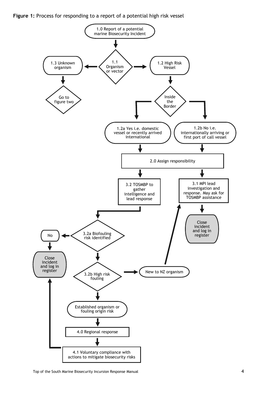

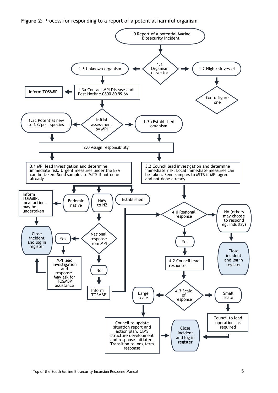#### **Figure 2:** Process for responding to a report of a potential harmful organism

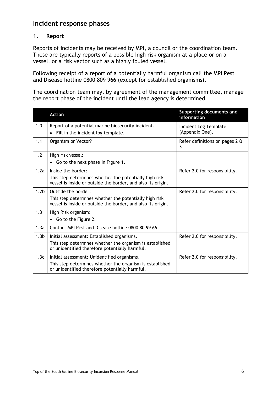## <span id="page-6-0"></span>**Incident response phases**

#### <span id="page-6-1"></span>**1. Report**

Reports of incidents may be received by MPI, a council or the coordination team. These are typically reports of a possible high risk organism at a place or on a vessel, or a risk vector such as a highly fouled vessel.

Following receipt of a report of a potentially harmful organism call the MPI Pest and Disease hotline 0800 809 966 (except for established organisms).

The coordination team may, by agreement of the management committee, manage the report phase of the incident until the lead agency is determined.

|                  | <b>Action</b>                                                                                                          | Supporting documents and<br>information  |
|------------------|------------------------------------------------------------------------------------------------------------------------|------------------------------------------|
| 1.0              | Report of a potential marine biosecurity incident.<br>• Fill in the incident log template.                             | Incident Log Template<br>(Appendix One). |
| 1.1              | Organism or Vector?                                                                                                    | Refer definitions on pages 2 &<br>3      |
| 1.2              | High risk vessel:                                                                                                      |                                          |
|                  | • Go to the next phase in Figure 1.                                                                                    |                                          |
| 1.2a             | Inside the border:                                                                                                     | Refer 2.0 for responsibility.            |
|                  | This step determines whether the potentially high risk<br>vessel is inside or outside the border, and also its origin. |                                          |
| 1.2 <sub>b</sub> | Outside the border:                                                                                                    | Refer 2.0 for responsibility.            |
|                  | This step determines whether the potentially high risk<br>vessel is inside or outside the border, and also its origin. |                                          |
| 1.3              | High Risk organism:                                                                                                    |                                          |
|                  | • Go to the Figure 2.                                                                                                  |                                          |
| 1.3a             | Contact MPI Pest and Disease hotline 0800 80 99 66.                                                                    |                                          |
| 1.3 <sub>b</sub> | Initial assessment: Established organisms.                                                                             | Refer 2.0 for responsibility.            |
|                  | This step determines whether the organism is established<br>or unidentified therefore potentially harmful.             |                                          |
| 1.3c             | Initial assessment: Unidentified organisms.                                                                            | Refer 2.0 for responsibility.            |
|                  | This step determines whether the organism is established<br>or unidentified therefore potentially harmful.             |                                          |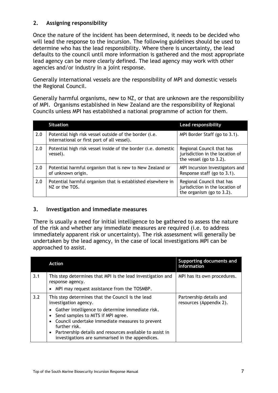#### <span id="page-7-0"></span>**2. Assigning responsibility**

Once the nature of the incident has been determined, it needs to be decided who will lead the response to the incursion. The following guidelines should be used to determine who has the lead responsibility. Where there is uncertainty, the lead defaults to the council until more information is gathered and the most appropriate lead agency can be more clearly defined. The lead agency may work with other agencies and/or industry in a joint response.

Generally international vessels are the responsibility of MPI and domestic vessels the Regional Council.

Generally harmful organisms, new to NZ, or that are unknown are the responsibility of MPI. Organisms established in New Zealand are the responsibility of Regional Councils unless MPI has established a national programme of action for them.

|     | <b>Situation</b>                                                                                      | <b>Lead responsibility</b>                                                                 |
|-----|-------------------------------------------------------------------------------------------------------|--------------------------------------------------------------------------------------------|
| 2.0 | Potential high risk vessel outside of the border (i.e.<br>international or first port of all vessel). | MPI Border Staff (go to 3.1).                                                              |
| 2.0 | Potential high risk vessel inside of the border (i.e. domestic<br>vessel).                            | Regional Council that has<br>jurisdiction in the location of<br>the vessel (go to $3.2$ ). |
| 2.0 | Potential harmful organism that is new to New Zealand or<br>of unknown origin.                        | MPI Incursion Investigators and<br>Response staff (go to 3.1).                             |
| 2.0 | Potential harmful organism that is established elsewhere in<br>NZ or the TOS.                         | Regional Council that has<br>jurisdiction in the location of<br>the organism (go to 3.2).  |

#### <span id="page-7-1"></span>**3. Investigation and immediate measures**

There is usually a need for initial intelligence to be gathered to assess the nature of the risk and whether any immediate measures are required (i.e. to address immediately apparent risk or uncertainty). The risk assessment will generally be undertaken by the lead agency, in the case of local investigations MPI can be approached to assist.

|     | Action                                                                                                                                                                                                                                                                     | Supporting documents and<br>information            |  |
|-----|----------------------------------------------------------------------------------------------------------------------------------------------------------------------------------------------------------------------------------------------------------------------------|----------------------------------------------------|--|
| 3.1 | This step determines that MPI is the lead investigation and<br>response agency.                                                                                                                                                                                            | MPI has its own procedures.                        |  |
|     | MPI may request assistance from the TOSMBP.                                                                                                                                                                                                                                |                                                    |  |
| 3.2 | This step determines that the Council is the lead<br>investigation agency.                                                                                                                                                                                                 | Partnership details and<br>resources (Appendix 2). |  |
|     | Gather intelligence to determine immediate risk.<br>Send samples to MITS if MPI agree.<br>Council undertake immediate measures to prevent<br>further risk.<br>Partnership details and resources available to assist in<br>investigations are summarised in the appendices. |                                                    |  |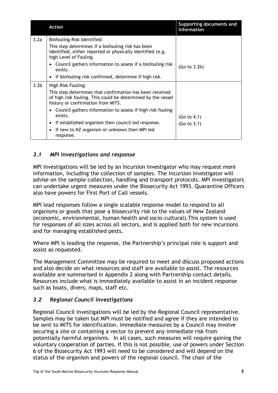|                  | <b>Action</b>                                                                                                                                                  | Supporting documents and<br>information |
|------------------|----------------------------------------------------------------------------------------------------------------------------------------------------------------|-----------------------------------------|
| 3.2a             | Biofouling Risk Identified:                                                                                                                                    |                                         |
|                  | This step determines if a biofouling risk has been<br>identified, either reported or physically identified (e.g.<br>high Level of Fouling.                     |                                         |
|                  | Council gathers information to assess if a biofouling risk<br>exists.                                                                                          | (Go to 3.2b)                            |
|                  | If biofouling risk confirmed, determine if high risk.                                                                                                          |                                         |
| 3.2 <sub>b</sub> | High Risk Fouling:                                                                                                                                             |                                         |
|                  | This step determines that confirmation has been received<br>of high risk fouling. This could be determined by the vessel<br>history or confirmation from MITS. |                                         |
|                  | • Council gathers information to assess if high risk fouling<br>exists.                                                                                        | (Go to 4.1)                             |
|                  | If established organism then council led response.                                                                                                             | (Go to 3.1)                             |
|                  | If new to NZ organism or unknown then MPI led<br>response.                                                                                                     |                                         |

## *3.1 MPI investigations and response*

MPI Investigations will be led by an Incursion Investigator who may request more information, including the collection of samples. The Incursion Investigator will advise on the sample collection, handling and transport protocols. MPI investigators can undertake urgent measures under the Biosecurity Act 1993. Quarantine Officers also have powers for First Port of Call vessels.

MPI lead responses follow a single scalable response model to respond to all organisms or goods that pose a biosecurity risk to the values of New Zealand (economic, environmental, human health and socio-cultural).This system is used for responses of all sizes across all sectors, and is applied both for new incursions and for managing established pests.

Where MPI is leading the response, the Partnership's principal role is support and assist as requested.

The Management Committee may be required to meet and discuss proposed actions and also decide on what resources and staff are available to assist. The resources available are summarised in Appendix 2 along with Partnership contact details. Resources include what is immediately available to assist in an incident response such as boats, divers, maps, staff etc.

## *3.2 Regional Council investigations*

Regional Council investigations will be led by the Regional Council representative. Samples may be taken but MPI must be notified and agree if they are intended to be sent to MITS for identification. Immediate measures by a Council may involve securing a site or containing a vector to prevent any immediate risk from potentially harmful organisms. In all cases, such measures will require gaining the voluntary cooperation of parties. If this is not possible, use of powers under Section 6 of the Biosecurity Act 1993 will need to be considered and will depend on the status of the organism and powers of the regional council. The chair of the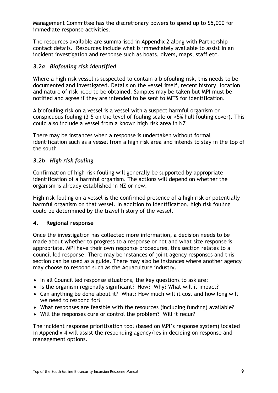Management Committee has the discretionary powers to spend up to \$5,000 for immediate response activities.

The resources available are summarised in Appendix 2 along with Partnership contact details. Resources include what is immediately available to assist in an incident investigation and response such as boats, divers, maps, staff etc.

## *3.2a Biofouling risk identified*

Where a high risk vessel is suspected to contain a biofouling risk, this needs to be documented and investigated. Details on the vessel itself, recent history, location and nature of risk need to be obtained. Samples may be taken but MPI must be notified and agree if they are intended to be sent to MITS for identification.

A biofouling risk on a vessel is a vessel with a suspect harmful organism or conspicuous fouling (3-5 on the level of fouling scale or >5% hull fouling cover). This could also include a vessel from a known high risk area in NZ

There may be instances when a response is undertaken without formal identification such as a vessel from a high risk area and intends to stay in the top of the south

## *3.2b High risk fouling*

Confirmation of high risk fouling will generally be supported by appropriate identification of a harmful organism. The actions will depend on whether the organism is already established in NZ or new.

High risk fouling on a vessel is the confirmed presence of a high risk or potentially harmful organism on that vessel. In addition to identification, high risk fouling could be determined by the travel history of the vessel.

## <span id="page-9-0"></span>**4. Regional response**

Once the investigation has collected more information, a decision needs to be made about whether to progress to a response or not and what size response is appropriate. MPI have their own response procedures, this section relates to a council led response. There may be instances of joint agency responses and this section can be used as a guide. There may also be instances where another agency may choose to respond such as the Aquaculture industry.

- In all Council led response situations, the key questions to ask are:
- Is the organism regionally significant? How? Why? What will it impact?
- Can anything be done about it? What? How much will it cost and how long will we need to respond for?
- What responses are feasible with the resources (including funding) available?
- Will the responses cure or control the problem? Will it recur?

The incident response prioritisation tool (based on MPI's response system) located in Appendix 4 will assist the responding agency/ies in deciding on response and management options.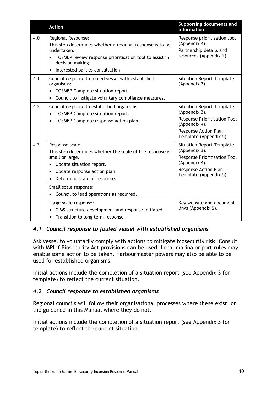|     | <b>Action</b>                                                                                                                                                                                                                              | Supporting documents and<br>information                                                                                                                     |
|-----|--------------------------------------------------------------------------------------------------------------------------------------------------------------------------------------------------------------------------------------------|-------------------------------------------------------------------------------------------------------------------------------------------------------------|
| 4.0 | Regional Response:<br>This step determines whether a regional response is to be<br>undertaken.<br>TOSMBP review response prioritisation tool to assist in<br>$\bullet$<br>decision making.<br>Interested parties consultation<br>$\bullet$ | Response prioritisation tool<br>(Appendix 4).<br>Partnership details and<br>resources (Appendix 2)                                                          |
| 4.1 | Council response to fouled vessel with established<br>organisms:<br>TOSMBP Complete situation report.<br>$\bullet$<br>Council to instigate voluntary compliance measures.                                                                  | <b>Situation Report Template</b><br>(Appendix 3).                                                                                                           |
| 4.2 | Council response to established organisms:<br>TOSMBP Complete situation report.<br>TOSMBP Complete response action plan.                                                                                                                   | <b>Situation Report Template</b><br>(Appendix 3).<br><b>Response Prioritisation Tool</b><br>(Appendix 4).<br>Response Action Plan<br>Template (Appendix 5). |
| 4.3 | Response scale:<br>This step determines whether the scale of the response is<br>small or large.<br>Update situation report.<br>$\bullet$<br>Update response action plan.<br>٠<br>Determine scale of response.                              | <b>Situation Report Template</b><br>(Appendix 3).<br><b>Response Prioritisation Tool</b><br>(Appendix 4).<br>Response Action Plan<br>Template (Appendix 5). |
|     | Small scale response:<br>Council to lead operations as required.                                                                                                                                                                           |                                                                                                                                                             |
|     | Large scale response:<br>CIMS structure development and response initiated.<br>$\bullet$<br>Transition to long term response                                                                                                               | Key website and document<br>links (Appendix 6).                                                                                                             |

## *4.1 Council response to fouled vessel with established organisms*

Ask vessel to voluntarily comply with actions to mitigate biosecurity risk. Consult with MPI if Biosecurity Act provisions can be used. Local marina or port rules may enable some action to be taken. Harbourmaster powers may also be able to be used for established organisms.

Initial actions include the completion of a situation report (see Appendix 3 for template) to reflect the current situation.

## *4.2 Council response to established organisms*

Regional councils will follow their organisational processes where these exist, or the guidance in this Manual where they do not.

Initial actions include the completion of a situation report (see Appendix 3 for template) to reflect the current situation.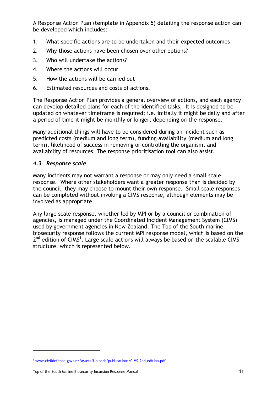A Response Action Plan (template in Appendix 5) detailing the response action can be developed which includes:

- 1. What specific actions are to be undertaken and their expected outcomes
- 2. Why those actions have been chosen over other options?
- 3. Who will undertake the actions?
- 4. Where the actions will occur
- 5. How the actions will be carried out
- 6. Estimated resources and costs of actions.

The Response Action Plan provides a general overview of actions, and each agency can develop detailed plans for each of the identified tasks. It is designed to be updated on whatever timeframe is required; i.e. initially it might be daily and after a period of time it might be monthly or longer, depending on the response.

Many additional things will have to be considered during an incident such as predicted costs (medium and long term), funding availability (medium and long term), likelihood of success in removing or controlling the organism, and availability of resources. The response prioritisation tool can also assist.

#### *4.3 Response scale*

Many incidents may not warrant a response or may only need a small scale response. Where other stakeholders want a greater response than is decided by the council, they may choose to mount their own response. Small scale responses can be completed without invoking a CIMS response, although elements may be involved as appropriate.

Any large scale response, whether led by MPI or by a council or combination of agencies, is managed under the Coordinated Incident Management System (CIMS) used by government agencies in New Zealand. The Top of the South marine biosecurity response follows the current MPI response model, which is based on the  $2<sup>nd</sup>$  edition of CIMS<sup>1</sup>. Large scale actions will always be based on the scalable CIMS structure, which is represented below.

 $\overline{a}$ 

<sup>&</sup>lt;sup>1</sup> [www.civildefence.govt.nz/assets/Uploads/publications/CIMS-2nd-edition.pdf](http://www.civildefence.govt.nz/assets/Uploads/publications/CIMS-2nd-edition.pdf)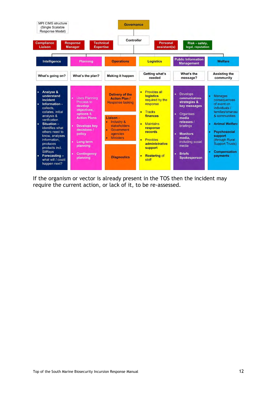

If the organism or vector is already present in the TOS then the incident may require the current action, or lack of it, to be re-assessed.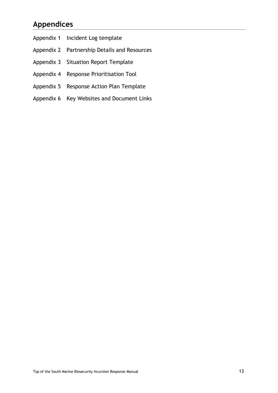## <span id="page-13-0"></span>**Appendices**

- Appendix 1 Incident Log template
- Appendix 2 Partnership Details and Resources
- Appendix 3 Situation Report Template
- Appendix 4 Response Prioritisation Tool
- Appendix 5 Response Action Plan Template
- Appendix 6 Key Websites and Document Links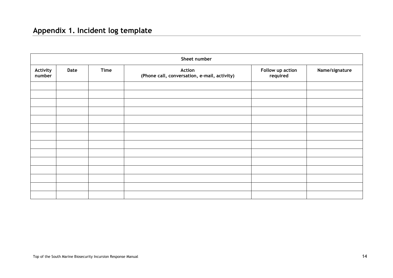## **Appendix 1. Incident log template**

<span id="page-14-0"></span>

| Sheet number       |      |             |                                                        |                              |                |  |  |  |  |
|--------------------|------|-------------|--------------------------------------------------------|------------------------------|----------------|--|--|--|--|
| Activity<br>number | Date | <b>Time</b> | Action<br>(Phone call, conversation, e-mail, activity) | Follow up action<br>required | Name/signature |  |  |  |  |
|                    |      |             |                                                        |                              |                |  |  |  |  |
|                    |      |             |                                                        |                              |                |  |  |  |  |
|                    |      |             |                                                        |                              |                |  |  |  |  |
|                    |      |             |                                                        |                              |                |  |  |  |  |
|                    |      |             |                                                        |                              |                |  |  |  |  |
|                    |      |             |                                                        |                              |                |  |  |  |  |
|                    |      |             |                                                        |                              |                |  |  |  |  |
|                    |      |             |                                                        |                              |                |  |  |  |  |
|                    |      |             |                                                        |                              |                |  |  |  |  |
|                    |      |             |                                                        |                              |                |  |  |  |  |
|                    |      |             |                                                        |                              |                |  |  |  |  |
|                    |      |             |                                                        |                              |                |  |  |  |  |
|                    |      |             |                                                        |                              |                |  |  |  |  |
|                    |      |             |                                                        |                              |                |  |  |  |  |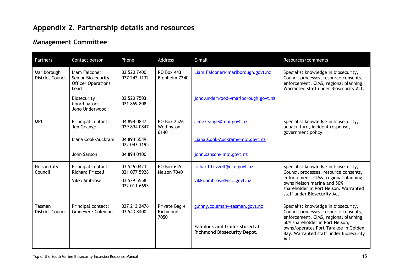## **Management Committee**

<span id="page-15-1"></span><span id="page-15-0"></span>

| Partners                               | Contact person                                                           | Phone                       | <b>Address</b>                    | E-mail                                                               | Resources/comments                                                                                                                                               |
|----------------------------------------|--------------------------------------------------------------------------|-----------------------------|-----------------------------------|----------------------------------------------------------------------|------------------------------------------------------------------------------------------------------------------------------------------------------------------|
| Marlborough<br><b>District Council</b> | Liam Falconer<br>Senior Biosecurity<br><b>Officer Operations</b><br>Lead | 03 520 7400<br>027 242 1132 | PO Box 443<br>Blenheim 7240       | Liam.Falconer@marlborough.govt.nz                                    | Specialist knowledge in biosecurity,<br>Council processes, resource consents,<br>enforcement, CIMS, regional planning.<br>Warranted staff under Biosecurity Act. |
|                                        | Biosecurity<br>Coordinator:<br>Jono Underwood                            | 03 520 7503<br>021 869 808  |                                   | jono.underwood@marlborough.govt.nz                                   |                                                                                                                                                                  |
| <b>MPI</b>                             | Principal contact:<br>Jen Geange                                         | 04 894 0847<br>029 894 0847 | PO Box 2526<br>Wellington<br>6140 | Jen.Geange@mpi.govt.nz                                               | Specialist knowledge in biosecurity,<br>aquaculture, incident response,<br>government policy.                                                                    |
|                                        | Liana Cook-Auckram                                                       | 04 894 5549<br>022 043 1195 |                                   | Liana.Cook-Auckram@mpi.govt.nz                                       |                                                                                                                                                                  |
|                                        | John Sanson                                                              | 04 894 0100                 |                                   | john.sanson@mpi.govt.nz                                              |                                                                                                                                                                  |
| Nelson City<br>Council                 | Principal contact:<br><b>Richard Frizzell</b>                            | 03 546 0423<br>021 077 5928 | PO Box 645<br>Nelson 7040         | richard.frizzell@ncc.govt.nz                                         | Specialist knowledge in biosecurity,<br>Council processes, resource consents,                                                                                    |
|                                        | Vikki Ambrose                                                            | 03 539 5558<br>022 011 6693 |                                   | vikki.ambrose@ncc.govt.nz                                            | enforcement, CIMS, regional planning,<br>owns Nelson marina and 50%<br>shareholder in Port Nelson. Warranted<br>staff under Biosecurity Act.                     |
| Tasman<br><b>District Council</b>      | Principal contact:<br>Guinevere Coleman                                  | 027 213 2476<br>03 543 8400 | Private Bag 4<br>Richmond<br>7050 | guinny.coleman@tasman.govt.nz                                        | Specialist knowledge in biosecurity,<br>Council processes, resource consents,<br>enforcement, CIMS, regional planning,                                           |
|                                        |                                                                          |                             |                                   | Fab dock and trailer stored at<br><b>Richmond Biosecurity Depot.</b> | 50% shareholder in Port Nelson,<br>owns/operates Port Tarakoe in Golden<br>Bay. Warranted staff under Biosecurity<br>Act.                                        |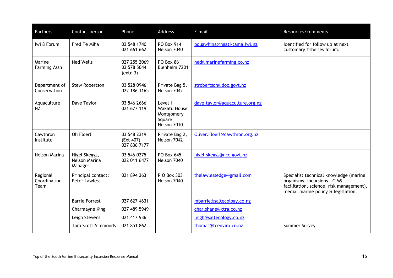| Partners                         | Contact person                             | Phone                                    | Address                                                               | E-mail                         | Resources/comments                                                                                                                                         |
|----------------------------------|--------------------------------------------|------------------------------------------|-----------------------------------------------------------------------|--------------------------------|------------------------------------------------------------------------------------------------------------------------------------------------------------|
| Iwi 8 Forum                      | Fred Te Miha                               | 03 548 1740<br>021 661 662               | PO Box 914<br>Nelson 7040                                             | pouawhina@ngati-tama.iwi.nz    | Identified for follow up at next<br>customary fisheries forum.                                                                                             |
| Marine<br><b>Farming Assn</b>    | <b>Ned Wells</b>                           | 027 255 2069<br>03 578 5044<br>(extn 3)  | PO Box 86<br>Blenheim 7201                                            | ned@marinefarming.co.nz        |                                                                                                                                                            |
| Department of<br>Conservation    | <b>Stew Robertson</b>                      | 03 528 0946<br>022 186 1165              | Private Bag 5,<br>Nelson 7042                                         | strobertson@doc.govt.nz        |                                                                                                                                                            |
| Aquaculture<br>NZ                | Dave Taylor                                | 03 546 2666<br>021 677 119               | Level 1<br><b>Wakatu House</b><br>Montgomery<br>Square<br>Nelson 7010 | dave.taylor@aquaculture.org.nz |                                                                                                                                                            |
| Cawthron<br>Institute            | Oli Floerl                                 | 03 548 2319<br>(Ext 407)<br>027 836 7177 | Private Bag 2,<br>Nelson 7042                                         | Oliver.Floerl@cawthron.org.nz  |                                                                                                                                                            |
| Nelson Marina                    | Nigel Skeggs,<br>Nelson Marina<br>Manager  | 03 546 0275<br>022 011 6477              | PO Box 645<br>Nelson 7040                                             | nigel.skeggs@ncc.govt.nz       |                                                                                                                                                            |
| Regional<br>Coordination<br>Team | Principal contact:<br><b>Peter Lawless</b> | 021 894 363                              | P O Box 303<br>Nelson 7040                                            | thelawlessedge@gmail.com       | Specialist technical knowledge (marine<br>organisms, incursions - CIMS,<br>facilitation, science, risk management),<br>media, marine policy & legislation. |
|                                  | <b>Barrie Forrest</b>                      | 027 627 4631                             |                                                                       | mbarrie@saltecology.co.nz      |                                                                                                                                                            |
|                                  | Charmayne King                             | 027 489 5949                             |                                                                       | char.shane@xtra.co.nz          |                                                                                                                                                            |
|                                  | Leigh Stevens                              | 021 417 936                              |                                                                       | leigh@saltecology.co.nz        |                                                                                                                                                            |
|                                  | Tom Scott-Simmonds                         | 021 851 862                              |                                                                       | thomas@tcenviro.co.nz          | Summer Survey                                                                                                                                              |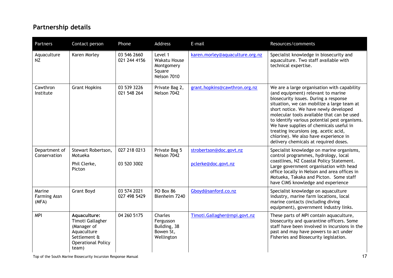## **Partnership details**

<span id="page-17-0"></span>

| Partners                               | Contact person                                                                                                                                                                        | Phone                       | Address                                                               | E-mail                                         | Resources/comments                                                                                                                                                                                                                                                                                                                                                                                                                                                                     |
|----------------------------------------|---------------------------------------------------------------------------------------------------------------------------------------------------------------------------------------|-----------------------------|-----------------------------------------------------------------------|------------------------------------------------|----------------------------------------------------------------------------------------------------------------------------------------------------------------------------------------------------------------------------------------------------------------------------------------------------------------------------------------------------------------------------------------------------------------------------------------------------------------------------------------|
| Aquaculture<br>NZ                      | Karen Morley                                                                                                                                                                          | 03 546 2660<br>021 244 4156 | Level 1<br><b>Wakatu House</b><br>Montgomery<br>Square<br>Nelson 7010 | karen.morley@aquaculture.org.nz                | Specialist knowledge in biosecurity and<br>aquaculture. Two staff available with<br>technical expertise.                                                                                                                                                                                                                                                                                                                                                                               |
| Cawthron<br>Institute                  | <b>Grant Hopkins</b>                                                                                                                                                                  | 03 539 3226<br>021 548 264  | Private Bag 2,<br>Nelson 7042                                         | grant.hopkins@cawthron.org.nz                  | We are a large organisation with capability<br>(and equipment) relevant to marine<br>biosecurity issues. During a response<br>situation, we can mobilize a large team at<br>short notice. We have newly developed<br>molecular tools available that can be used<br>to identify various potential pest organisms.<br>We have supplies of chemicals useful in<br>treating incursions (eg. acetic acid,<br>chlorine). We also have experience in<br>delivery chemicals at required doses. |
| Department of<br>Conservation          | Stewart Robertson,<br>Motueka<br>Phil Clerke,<br>Picton                                                                                                                               | 027 218 0213<br>03 520 3002 | Private Bag 5<br>Nelson 7042                                          | strobertson@doc.govt.nz<br>pclerke@doc.govt.nz | Specialist knowledge on marine organisms,<br>control programmes, hydrology, local<br>coastlines, NZ Coastal Policy Statement.<br>Large government organisation with head<br>office locally in Nelson and area offices in<br>Motueka, Takaka and Picton. Some staff<br>have CIMS knowledge and experience                                                                                                                                                                               |
| Marine<br><b>Farming Assn</b><br>(MFA) | <b>Grant Boyd</b>                                                                                                                                                                     | 03 574 2021<br>027 498 5429 | PO Box 86<br>Blenheim 7240                                            | Gboyd@sanford.co.nz                            | Specialist knowledge on aquaculture<br>industry, marine farm locations, local<br>marine contacts (including diving<br>equipment), government industry links.                                                                                                                                                                                                                                                                                                                           |
| <b>MPI</b>                             | Aquaculture:<br>Timoti Gallagher<br>(Manager of<br>Aquaculture<br>Settlement &<br><b>Operational Policy</b><br>team)<br>Top of the South Marine Biosecurity Incursion Response Manual | 04 260 5175                 | Charles<br>Fergusson<br>Building, 38<br>Bowen St,<br>Wellington       | Timoti.Gallagher@mpi.govt.nz                   | These parts of MPI contain aquaculture,<br>biosecurity and quarantine officers. Some<br>staff have been involved in incursions in the<br>past and may have powers to act under<br>Fisheries and Biosecurity legislation.<br>17                                                                                                                                                                                                                                                         |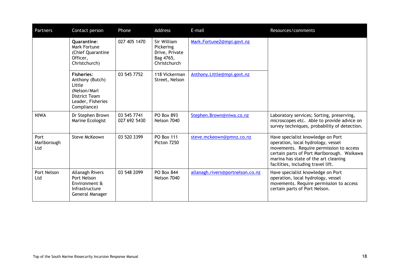<span id="page-18-0"></span>

| Partners                   | Contact person                                                                                                             | Phone                       | Address                                                                 | E-mail                           | Resources/comments                                                                                                                                                                                                                             |
|----------------------------|----------------------------------------------------------------------------------------------------------------------------|-----------------------------|-------------------------------------------------------------------------|----------------------------------|------------------------------------------------------------------------------------------------------------------------------------------------------------------------------------------------------------------------------------------------|
|                            | <b>Quarantine:</b><br>Mark Fortune<br>(Chief Quarantine<br>Officer,<br>Christchurch)                                       | 027 405 1470                | Sir William<br>Pickering<br>Drive, Private<br>Bag 4765,<br>Christchurch | Mark.Fortune2@mpi.govt.nz        |                                                                                                                                                                                                                                                |
|                            | <b>Fisheries:</b><br>Anthony (Butch)<br>Little<br>(Nelson/Marl<br><b>District Team</b><br>Leader, Fisheries<br>Compliance) | 03 545 7752                 | 118 Vickerman<br>Street, Nelson                                         | Anthony.Little@mpi.govt.nz       |                                                                                                                                                                                                                                                |
| <b>NIWA</b>                | Dr Stephen Brown<br>Marine Ecologist                                                                                       | 03 545 7741<br>027 692 5430 | PO Box 893<br>Nelson 7040                                               | Stephen. Brown@niwa.co.nz        | Laboratory services; Sorting, preserving,<br>microscopes etc. Able to provide advice on<br>survey techniques, probability of detection.                                                                                                        |
| Port<br>Marlborough<br>Ltd | Steve McKeown                                                                                                              | 03 520 3399                 | PO Box 111<br>Picton 7250                                               | steve.mckeown@pmnz.co.nz         | Have specialist knowledge on Port<br>operation, local hydrology, vessel<br>movements. Require permission to access<br>certain parts of Port Marlborough. Waikawa<br>marina has state of the art cleaning<br>facilities, including travel lift. |
| Port Nelson<br>Ltd         | Allanagh Rivers<br>Port Nelson<br>Environment &<br>Infrastructure<br>General Manager                                       | 03 548 2099                 | PO Box 844<br>Nelson 7040                                               | allanagh.rivers@portnelson.co.nz | Have specialist knowledge on Port<br>operation, local hydrology, vessel<br>movements. Require permission to access<br>certain parts of Port Nelson.                                                                                            |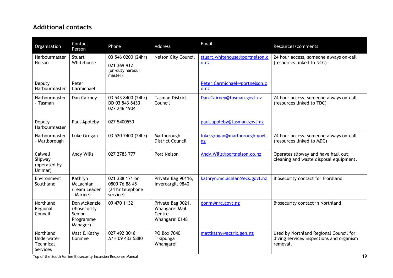## **Additional contacts**

| Organisation                                                                                                             | Contact<br>Person                                               | Phone                                                           | <b>Address</b>                                                  | Email                                 | Resources/comments                                                                                                |
|--------------------------------------------------------------------------------------------------------------------------|-----------------------------------------------------------------|-----------------------------------------------------------------|-----------------------------------------------------------------|---------------------------------------|-------------------------------------------------------------------------------------------------------------------|
| Harbourmaster<br>Nelson                                                                                                  | Stuart<br>Whitehouse                                            | 03 546 0200 (24hr)                                              | Nelson City Council                                             | stuart.whitehouse@portnelson.c        | 24 hour access, someone always on-call<br>(resources linked to NCC)                                               |
|                                                                                                                          |                                                                 | 021 369 912<br>(on-duty harbour<br>master)                      |                                                                 | o.nz                                  |                                                                                                                   |
| Deputy<br>Harbourmaster                                                                                                  | Peter<br>Carmichael                                             |                                                                 |                                                                 | Peter.Carmichael@portnelson.c<br>0.nz |                                                                                                                   |
| Harbourmaster<br>- Tasman                                                                                                | Dan Cairney                                                     | 03 543 8400 (24hr)<br>DD 03 543 8433<br>027 246 1904            | <b>Tasman District</b><br>Council                               | Dan.Cairney@tasman.govt.nz            | 24 hour access, someone always on-call<br>(resources linked to TDC)                                               |
| Deputy<br>Harbourmaster                                                                                                  | Paul Appleby                                                    | 027 5400550                                                     |                                                                 | paul.appleby@tasman.govt.nz           |                                                                                                                   |
| Harbourmaster<br>- Marlborough                                                                                           | Luke Grogan                                                     | 03 520 7400 (24hr)                                              | Marlborough<br><b>District Council</b>                          | luke.grogan@marlborough.govt.<br>nz   | 24 hour access, someone always on-call<br>(resources linked to MDC)                                               |
| Calwell<br>Slipway<br>(operated by<br>Unimar)                                                                            | Andy Wills                                                      | 027 2783 777                                                    | Port Nelson                                                     | Andy. Wills@portnelson.co.nz          | Operates slipway and have haul out,<br>cleaning and waste disposal equipment.                                     |
| Environment<br>Southland                                                                                                 | Kathryn<br>McLachlan<br>(Team Leader<br>- Marine)               | 021 388 171 or<br>0800 76 88 45<br>(24 hr telephone<br>service) | Private Bag 90116,<br>Invercargill 9840                         | kathryn.mclachlan@ecs.govt.nz         | Biosecurity contact for Fiordland                                                                                 |
| Northland<br>Regional<br>Council                                                                                         | Don McKenzie<br>(Biosecurity<br>Senior<br>Programme<br>Manager) | 09 470 1132                                                     | Private Bag 9021,<br>Whangarei Mail<br>Centre<br>Whangarei 0148 | donm@nrc.govt.nz                      | Biosecurity contact in Northland.                                                                                 |
| Northland<br>Underwater<br>Technical<br><b>Services</b><br>Top of the South Marine Biosecurity Incursion Response Manual | Matt & Kathy<br>Conmee                                          | 027 492 3018<br>A/H 09 433 5880                                 | PO Box 7040<br>Tikipunga<br>Whangarei                           | mattkathy@actrix.gen.nz               | Used by Northland Regional Council for<br>diving services inspections and organism<br>removal.<br>$\overline{19}$ |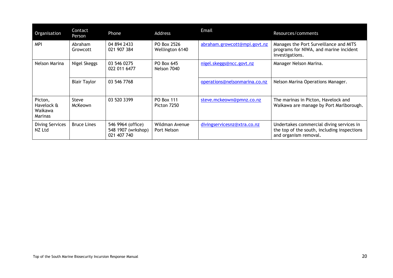| Organisation                                       | Contact<br><b>Person</b> | Phone                                                  | Address                        | Email                         | Resources/comments                                                                                               |
|----------------------------------------------------|--------------------------|--------------------------------------------------------|--------------------------------|-------------------------------|------------------------------------------------------------------------------------------------------------------|
| <b>MPI</b>                                         | Abraham<br>Growcott      | 04 894 2433<br>021 907 384                             | PO Box 2526<br>Wellington 6140 | abraham.growcott@mpi.govt.nz  | Manages the Port Surveillance and MITS<br>programs for NIWA, and marine incident<br>investigations.              |
| Nelson Marina                                      | Nigel Skeggs             | 03 546 0275<br>022 011 6477                            | PO Box 645<br>Nelson 7040      | nigel.skeggs@ncc.govt.nz      | Manager Nelson Marina.                                                                                           |
|                                                    | <b>Blair Taylor</b>      | 03 546 7768                                            |                                | operations@nelsonmarina.co.nz | Nelson Marina Operations Manager.                                                                                |
| Picton,<br>Havelock &<br>Waikawa<br><b>Marinas</b> | Steve<br>McKeown         | 03 520 3399                                            | PO Box 111<br>Picton 7250      | steve.mckeown@pmnz.co.nz      | The marinas in Picton, Havelock and<br>Waikawa are manage by Port Marlborough.                                   |
| <b>Diving Services</b><br>NZ Ltd                   | <b>Bruce Lines</b>       | 546 9964 (office)<br>548 1907 (wrkshop)<br>021 407 740 | Wildman Avenue<br>Port Nelson  | divingservicesnz@xtra.co.nz   | Undertakes commercial diving services in<br>the top of the south, including inspections<br>and organism removal. |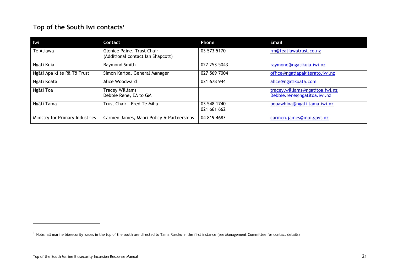## **Top of the South Iwi contacts<sup>1</sup>**

| lwi                             | Contact                                                         | <b>Phone</b>               | <b>Email</b>                                                   |
|---------------------------------|-----------------------------------------------------------------|----------------------------|----------------------------------------------------------------|
| Te Atiawa                       | Glenice Paine, Trust Chair<br>(Additional contact Ian Shapcott) | 03 573 5170                | rm@teatiawatrust.co.nz                                         |
| Ngati Kuia                      | Raymond Smith                                                   | 027 253 5043               | raymond@ngatikuia.iwi.nz                                       |
| Ngāti Apa ki te Rā Tō Trust     | Simon Karipa, General Manager                                   | 027 569 7004               | office@ngatiapakiterato.iwi.nz                                 |
| Ngāti Koata                     | Alice Woodward                                                  | 021 678 944                | alice@ngatikoata.com                                           |
| Ngāti Toa                       | Tracey Williams<br>Debbie Rene, EA to GM                        |                            | tracey.williams@ngatitoa.iwi.nz<br>Debbie.rene@ngatitoa.iwi.nz |
| Ngāti Tama                      | Trust Chair - Fred Te Miha                                      | 03 548 1740<br>021 661 662 | pouawhina@ngati-tama.iwi.nz                                    |
| Ministry for Primary Industries | Carmen James, Maori Policy & Partnerships                       | 04 819 4683                | carmen.james@mpi.govt.nz                                       |

<span id="page-21-0"></span> $\overline{a}$ 

 $^1$  Note: all marine biosecurity issues in the top of the south are directed to Tama Ruruku in the first instance (see Management Committee for contact details)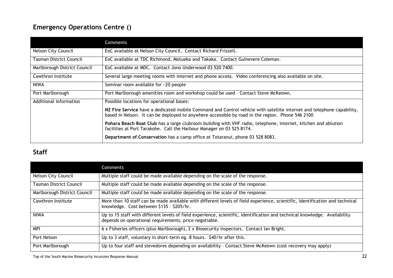## **Emergency Operations Centre ()**

|                                | <b>Comments</b>                                                                                                                                                                                                           |
|--------------------------------|---------------------------------------------------------------------------------------------------------------------------------------------------------------------------------------------------------------------------|
| Nelson City Council            | EoC available at Nelson City Council. Contact Richard Frizzell.                                                                                                                                                           |
| <b>Tasman District Council</b> | EoC available at TDC Richmond, Motueka and Takaka. Contact Guinevere Coleman.                                                                                                                                             |
| Marlborough District Council   | EoC available at MDC. Contact Jono Underwood 03 520 7400.                                                                                                                                                                 |
| Cawthron Institute             | Several large meeting rooms with internet and phone access. Video conferencing also available on site.                                                                                                                    |
| <b>NIWA</b>                    | Seminar room available for ~20 people                                                                                                                                                                                     |
| Port Marlborough               | Port Marlborough amenities room and workshop could be used - Contact Steve McKeown.                                                                                                                                       |
| Additional information         | Possible locations for operational bases:                                                                                                                                                                                 |
|                                | NZ Fire Service have a dedicated mobile Command and Control vehicle with satellite internet and telephone capability,<br>based in Nelson. It can be deployed to anywhere accessible by road in the region. Phone 546 2100 |
|                                | Pohara Beach Boat Club has a large clubroom building with VHF radio, telephone, internet, kitchen and ablution<br>facilities at Port Tarakohe. Call the Harbour Manager on 03 525 8174.                                   |
|                                | Department of Conservation has a camp office at Totaranui, phone 03 528 8083.                                                                                                                                             |

## <span id="page-22-0"></span>**Staff**

<span id="page-22-1"></span>

|                                | Comments                                                                                                                                                                             |
|--------------------------------|--------------------------------------------------------------------------------------------------------------------------------------------------------------------------------------|
| Nelson City Council            | Multiple staff could be made available depending on the scale of the response.                                                                                                       |
| <b>Tasman District Council</b> | Multiple staff could be made available depending on the scale of the response.                                                                                                       |
| Marlborough District Council   | Multiple staff could be made available depending on the scale of the response.                                                                                                       |
| Cawthron Institute             | More than 10 staff can be made available with different levels of field experience, scientific, identification and technical<br>knowledge. Cost between \$135 - \$205/hr.            |
| <b>NIWA</b>                    | Up to 15 staff with different levels of field experience, scientific, identification and technical knowledge. Availability<br>depends on operational requirements, price negotiable. |
| <b>MPI</b>                     | 6 x Fisheries officers (plus Marlborough), 2 x Biosecurity Inspectors. Contact Ian Bright.                                                                                           |
| Port Nelson                    | Up to 3 staff, voluntary in short-term eg. 8 hours. \$40/hr after this.                                                                                                              |
| Port Marlborough               | Up to four staff and stevedores depending on availability - Contact Steve McKeown (cost recovery may apply)                                                                          |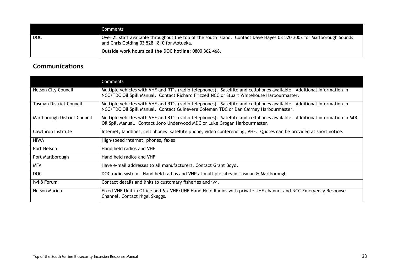|            | Comments                                                                                                                                                            |
|------------|---------------------------------------------------------------------------------------------------------------------------------------------------------------------|
| <b>DOC</b> | Over 25 staff available throughout the top of the south island. Contact Dave Hayes 03 520 3002 for Marlborough Sounds<br>and Chris Golding 03 528 1810 for Motueka. |
|            | Outside work hours call the DOC hotline: 0800 362 468.                                                                                                              |

## **Communications**

<span id="page-23-0"></span>

|                                | <b>Comments</b>                                                                                                                                                                                                     |  |
|--------------------------------|---------------------------------------------------------------------------------------------------------------------------------------------------------------------------------------------------------------------|--|
| Nelson City Council            | Multiple vehicles with VHF and RT's (radio telephones). Satellite and cellphones available. Additional information in<br>NCC/TDC Oil Spill Manual. Contact Richard Frizzell NCC or Stuart Whitehouse Harbourmaster. |  |
| <b>Tasman District Council</b> | Multiple vehicles with VHF and RT's (radio telephones). Satellite and cellphones available. Additional information in<br>NCC/TDC Oil Spill Manual. Contact Guinevere Coleman TDC or Dan Cairney Harbourmaster.      |  |
| Marlborough District Council   | Multiple vehicles with VHF and RT's (radio telephones). Satellite and cellphones available. Additional information in MDC<br>Oil Spill Manual. Contact Jono Underwood MDC or Luke Grogan Harbourmaster.             |  |
| Cawthron Institute             | Internet, landlines, cell phones, satellite phone, video conferencing, VHF. Quotes can be provided at short notice.                                                                                                 |  |
| <b>NIWA</b>                    | High-speed internet, phones, faxes                                                                                                                                                                                  |  |
| Port Nelson                    | Hand held radios and VHF                                                                                                                                                                                            |  |
| Port Marlborough               | Hand held radios and VHF                                                                                                                                                                                            |  |
| <b>MFA</b>                     | Have e-mail addresses to all manufacturers. Contact Grant Boyd.                                                                                                                                                     |  |
| <b>DOC</b>                     | DOC radio system. Hand held radios and VHP at multiple sites in Tasman & Marlborough                                                                                                                                |  |
| Iwi 8 Forum                    | Contact details and links to customary fisheries and iwi.                                                                                                                                                           |  |
| Nelson Marina                  | Fixed VHF Unit in Office and 6 x VHF/UHF Hand Held Radios with private UHF channel and NCC Emergency Response<br>Channel. Contact Nigel Skeggs.                                                                     |  |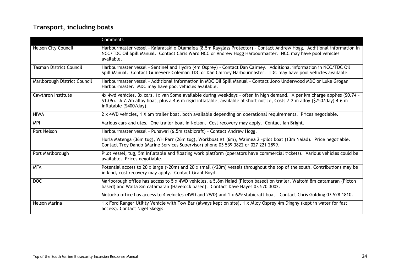## **Transport, including boats**

<span id="page-24-0"></span>

|                                | Comments                                                                                                                                                                                                                                                                          |
|--------------------------------|-----------------------------------------------------------------------------------------------------------------------------------------------------------------------------------------------------------------------------------------------------------------------------------|
| Nelson City Council            | Harbourmaster vessel - Kaiarataki o Otamaiea (8.5m Rayglass Protector) - Contact Andrew Hogg. Additional information in<br>NCC/TDC Oil Spill Manual. Contact Chris Ward NCC or Andrew Hogg Harbourmaster. NCC may have pool vehicles<br>available.                                |
| <b>Tasman District Council</b> | Harbourmaster vessel - Sentinel and Hydro (4m Osprey) - Contact Dan Cairney. Additional information in NCC/TDC Oil<br>Spill Manual. Contact Guinevere Coleman TDC or Dan Cairney Harbourmaster. TDC may have pool vehicles available.                                             |
| Marlborough District Council   | Harbourmaster vessel - Additional information in MDC Oil Spill Manual - Contact Jono Underwood MDC or Luke Grogan<br>Harbourmaster. MDC may have pool vehicles available.                                                                                                         |
| Cawthron Institute             | 4x 4wd vehicles, 3x cars, 1x van Some available during weekdays - often in high demand. A per km charge applies (\$0.74 -<br>\$1.06). A 7.2m alloy boat, plus a 4.6 m rigid inflatable, available at short notice, Costs 7.2 m alloy (\$750/day) 4.6 m<br>inflatable (\$400/day). |
| <b>NIWA</b>                    | 2 x 4WD vehicles, 1 X 6m trailer boat, both available depending on operational requirements. Prices negotiable.                                                                                                                                                                   |
| <b>MPI</b>                     | Various cars and utes. One trailer boat in Nelson. Cost recovery may apply. Contact Ian Bright.                                                                                                                                                                                   |
| Port Nelson                    | Harbourmaster vessel - Punawai (6.5m stabicraft) - Contact Andrew Hogg.                                                                                                                                                                                                           |
|                                | Huria Matenga (36m tug), WH Parr (26m tug), Workboat #1 (6m), Waimea 2 -pilot boat (13m Naiad). Price negotiable.<br>Contact Troy Dando (Marine Services Supervisor) phone 03 539 3822 or 027 221 2899.                                                                           |
| Port Marlborough               | Pilot vessel, tug, 5m inflatable and floating work platform (operators have commercial tickets). Various vehicles could be<br>available. Prices negotiable.                                                                                                                       |
| <b>MFA</b>                     | Potential access to 20 x large (>20m) and 20 x small (<20m) vessels throughout the top of the south. Contributions may be<br>in kind, cost recovery may apply. Contact Grant Boyd.                                                                                                |
| <b>DOC</b>                     | Marlborough office has access to 5 x 4WD vehicles, a 5.8m Naiad (Picton based) on trailer, Waitohi 8m catamaran (Picton<br>based) and Waita 8m catamaran (Havelock based). Contact Dave Hayes 03 520 3002.                                                                        |
|                                | Motueka office has access to 4 vehicles (4WD and 2WD) and 1 x 629 stabicraft boat. Contact Chris Golding 03 528 1810.                                                                                                                                                             |
| Nelson Marina                  | 1 x Ford Ranger Utility Vehicle with Tow Bar (always kept on site). 1 x Alloy Osprey 4m Dinghy (kept in water for fast<br>access). Contact Nigel Skeggs.                                                                                                                          |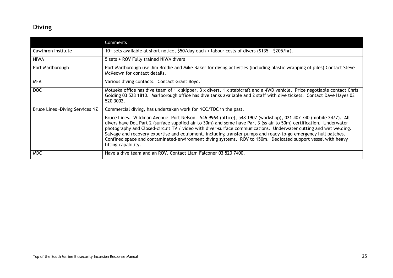## **Diving**

<span id="page-25-0"></span>

|                                  | Comments                                                                                                                                                                                                                                                                                                                                                                                                                                                                                                                                                                                                             |
|----------------------------------|----------------------------------------------------------------------------------------------------------------------------------------------------------------------------------------------------------------------------------------------------------------------------------------------------------------------------------------------------------------------------------------------------------------------------------------------------------------------------------------------------------------------------------------------------------------------------------------------------------------------|
| Cawthron Institute               | 10+ sets available at short notice, \$50/day each + labour costs of divers (\$135 - \$205/hr).                                                                                                                                                                                                                                                                                                                                                                                                                                                                                                                       |
| <b>NIWA</b>                      | 5 sets + ROV Fully trained NIWA divers                                                                                                                                                                                                                                                                                                                                                                                                                                                                                                                                                                               |
| Port Marlborough                 | Port Marlborough use Jim Brodie and Mike Baker for diving activities (including plastic wrapping of piles) Contact Steve<br>McKeown for contact details.                                                                                                                                                                                                                                                                                                                                                                                                                                                             |
| <b>MFA</b>                       | Various diving contacts. Contact Grant Boyd.                                                                                                                                                                                                                                                                                                                                                                                                                                                                                                                                                                         |
| DOC.                             | Motueka office has dive team of 1 x skipper, 3 x divers, 1 x stabicraft and a 4WD vehicle. Price negotiable contact Chris<br>Golding 03 528 1810. Marlborough office has dive tanks available and 2 staff with dive tickets. Contact Dave Hayes 03<br>520 3002.                                                                                                                                                                                                                                                                                                                                                      |
| Bruce Lines - Diving Services NZ | Commercial diving, has undertaken work for NCC/TDC in the past.                                                                                                                                                                                                                                                                                                                                                                                                                                                                                                                                                      |
|                                  | Bruce Lines. Wildman Avenue, Port Nelson. 546 9964 (office), 548 1907 (workshop), 021 407 740 (mobile 24/7). All<br>divers have DoL Part 2 (surface supplied air to 30m) and some have Part 3 (ss air to 50m) certification. Underwater<br>photography and Closed-circuit TV / video with diver-surface communications. Underwater cutting and wet welding.<br>Salvage and recovery expertise and equipment, including transfer pumps and ready-to-go emergency hull patches.<br>Confined space and contaminated-environment diving systems. ROV to 150m. Dedicated support vessel with heavy<br>lifting capability. |
| <b>MDC</b>                       | Have a dive team and an ROV. Contact Liam Falconer 03 520 7400.                                                                                                                                                                                                                                                                                                                                                                                                                                                                                                                                                      |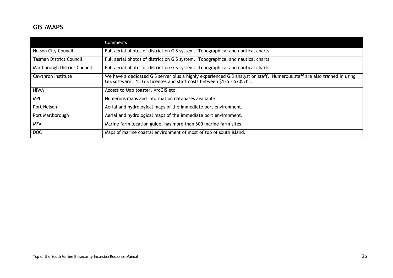## **GIS /MAPS**

<span id="page-26-0"></span>

|                                | Comments                                                                                                                                                                                           |  |
|--------------------------------|----------------------------------------------------------------------------------------------------------------------------------------------------------------------------------------------------|--|
| Nelson City Council            | Full aerial photos of district on GIS system. Topographical and nautical charts.                                                                                                                   |  |
| <b>Tasman District Council</b> | Full aerial photos of district on GIS system. Topographical and nautical charts.                                                                                                                   |  |
| Marlborough District Council   | Full aerial photos of district on GIS system. Topographical and nautical charts.                                                                                                                   |  |
| Cawthron Institute             | We have a dedicated GIS server plus a highly experienced GIS analyst on staff. Numerous staff are also trained in using<br>GIS software. 15 GIS licenses and staff costs between \$135 - \$205/hr. |  |
| <b>NIWA</b>                    | Access to Map toaster, ArcGIS etc.                                                                                                                                                                 |  |
| <b>MPI</b>                     | Numerous maps and information databases available.                                                                                                                                                 |  |
| Port Nelson                    | Aerial and hydrological maps of the immediate port environment.                                                                                                                                    |  |
| Port Marlborough               | Aerial and hydrological maps of the immediate port environment.                                                                                                                                    |  |
| <b>MFA</b>                     | Marine farm location guide, has more than 600 marine farm sites.                                                                                                                                   |  |
| DOC                            | Maps of marine coastal environment of most of top of south island.                                                                                                                                 |  |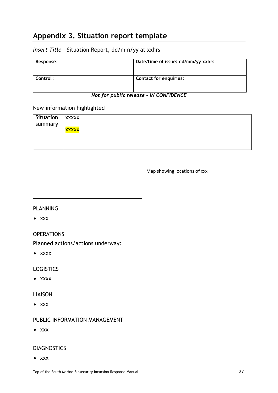## <span id="page-27-0"></span>**Appendix 3. Situation report template**

## *Insert Title* – Situation Report, dd/mm/yy at xxhrs

| Response: | Date/time of issue: dd/mm/yy xxhrs |
|-----------|------------------------------------|
| Control:  | <b>Contact for enquiries:</b>      |

## *Not for public release – IN CONFIDENCE*

## New information highlighted

| Situation | XXXXX        |
|-----------|--------------|
| summary   |              |
|           | <b>XXXXX</b> |
|           |              |
|           |              |
|           |              |

| Map showing locations of xxx |
|------------------------------|
|                              |

## PLANNING

 $\bullet$  xxx

## **OPERATIONS**

Planned actions/actions underway:

• xxxx

## LOGISTICS

• xxxx

## LIAISON

 $\bullet$  xxx

## PUBLIC INFORMATION MANAGEMENT

 $\bullet$  xxx

#### DIAGNOSTICS

• xxx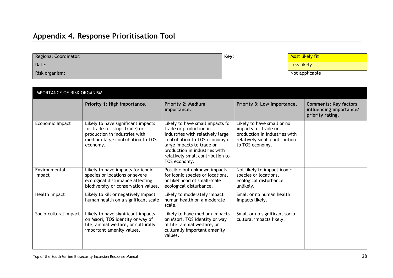# **Appendix 4. Response Prioritisation Tool**

| <b>Regional Coordinator:</b> | Key: | <b>Most likely fit</b> |
|------------------------------|------|------------------------|
| Date:                        |      | Less likely            |
| Risk organism:               |      | Not applicable         |

<span id="page-28-0"></span>

| IMPORTANCE OF RISK ORGANISM |                                                                                                                                                      |                                                                                                                                                                                                                                                    |                                                                                                                                         |                                                                             |  |  |  |  |  |  |
|-----------------------------|------------------------------------------------------------------------------------------------------------------------------------------------------|----------------------------------------------------------------------------------------------------------------------------------------------------------------------------------------------------------------------------------------------------|-----------------------------------------------------------------------------------------------------------------------------------------|-----------------------------------------------------------------------------|--|--|--|--|--|--|
|                             | Priority 1: High importance.                                                                                                                         | Priority 2: Medium<br>importance.                                                                                                                                                                                                                  | Priority 3: Low importance.                                                                                                             | <b>Comments: Key factors</b><br>influencing importance/<br>priority rating. |  |  |  |  |  |  |
| Economic Impact             | Likely to have significant impacts<br>for trade (or stops trade) or<br>production in industries with<br>medium-large contribution to TOS<br>economy. | Likely to have small impacts for<br>trade or production in<br>industries with relatively large<br>contribution to TOS economy or<br>large impacts to trade or<br>production in industries with<br>relatively small contribution to<br>TOS economy. | Likely to have small or no<br>impacts for trade or<br>production in industries with<br>relatively small contribution<br>to TOS economy. |                                                                             |  |  |  |  |  |  |
| Environmental<br>Impact     | Likely to have impacts for iconic<br>species or locations or severe<br>ecological disturbance affecting<br>biodiversity or conservation values.      | Possible but unknown impacts<br>for iconic species or locations,<br>or likelihood of small-scale<br>ecological disturbance.                                                                                                                        | Not likely to impact iconic<br>species or locations,<br>ecological disturbance<br>unlikely.                                             |                                                                             |  |  |  |  |  |  |
| Health Impact               | Likely to kill or negatively impact<br>human health on a significant scale                                                                           | Likely to moderately impact<br>human health on a moderate<br>scale.                                                                                                                                                                                | Small or no human health<br>impacts likely.                                                                                             |                                                                             |  |  |  |  |  |  |
| Socio-cultural Impact       | Likely to have significant impacts<br>on Maori, TOS identity or way of<br>life, animal welfare, or culturally<br>important amenity values.           | Likely to have medium impacts<br>on Maori, TOS identity or way<br>of life, animal welfare, or<br>culturally important amenity<br>values.                                                                                                           | Small or no significant socio-<br>cultural impacts likely.                                                                              |                                                                             |  |  |  |  |  |  |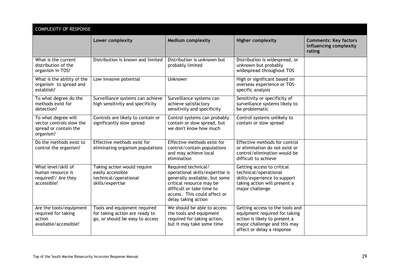| <b>COMPLEXITY OF RESPONSE</b>                                                         |                                                                                                   |                                                                                                                                                                                                         |                                                                                                                                                                 |                                                                  |
|---------------------------------------------------------------------------------------|---------------------------------------------------------------------------------------------------|---------------------------------------------------------------------------------------------------------------------------------------------------------------------------------------------------------|-----------------------------------------------------------------------------------------------------------------------------------------------------------------|------------------------------------------------------------------|
|                                                                                       | Lower complexity                                                                                  | <b>Medium complexity</b>                                                                                                                                                                                | <b>Higher complexity</b>                                                                                                                                        | <b>Comments: Key factors</b><br>influencing complexity<br>rating |
| What is the current<br>distribution of the<br>organism in TOS?                        | Distribution is known and limited                                                                 | Distribution is unknown but<br>probably limited                                                                                                                                                         | Distribution is widespread, or<br>unknown but probably<br>widespread throughout TOS                                                                             |                                                                  |
| What is the ability of the<br>organism to spread and<br>establish?                    | Low invasive potential                                                                            | Unknown                                                                                                                                                                                                 | High or significant based on<br>overseas experience or TOS-<br>specific analysis                                                                                |                                                                  |
| To what degree do the<br>methods exist for<br>detection?                              | Surveillance systems can achieve<br>high sensitivity and specificity                              | Surveillance systems can<br>achieve satisfactory<br>sensitivity and specificity                                                                                                                         | Sensitivity or specificity of<br>surveillance systems likely to<br>be problematic                                                                               |                                                                  |
| To what degree will<br>vector controls slow the<br>spread or contain the<br>organism? | Controls are likely to contain or<br>significantly slow spread                                    | Control systems can probably<br>contain or slow spread, but<br>we don't know how much                                                                                                                   | Control systems unlikely to<br>contain or slow spread                                                                                                           |                                                                  |
| Do the methods exist to<br>control the organism?                                      | Effective methods exist for<br>eliminating organism populations                                   | Effective methods exist for<br>control/contain populations<br>and may achieve local<br>elimination                                                                                                      | Effective methods for control<br>or elimination do not exist or<br>control/elimination would be<br>difficult to achieve                                         |                                                                  |
| What level/skill of<br>human resource is<br>required?/ Are they<br>accessible?        | Taking action would require<br>easily accessible<br>technical/operational<br>skills/expertise     | Required technical/<br>operational skills/expertise is<br>generally available, but some<br>critical resource may be<br>difficult or take time to<br>access. This could affect or<br>delay taking action | Getting access to critical<br>technical/operational<br>skills/experience to support<br>taking action will present a<br>major challenge                          |                                                                  |
| Are the tools/equipment<br>required for taking<br>action<br>available/accessible?     | Tools and equipment required<br>for taking action are ready to<br>go, or should be easy to access | We should be able to access<br>the tools and equipment<br>required for taking action,<br>but it may take some time                                                                                      | Getting access to the tools and<br>equipment required for taking<br>action is likely to present a<br>major challenge and this may<br>affect or delay a response |                                                                  |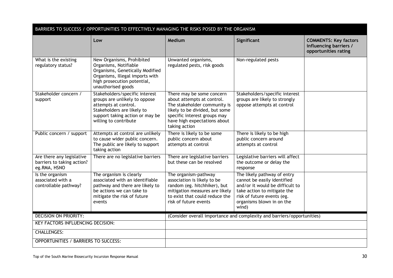| BARRIERS TO SUCCESS / OPPORTUNITIES TO EFFECTIVELY MANAGING THE RISKS POSED BY THE ORGANISM |                                                                                                                                                                                   |                                                                                                                                                                                                            |                                                                                                                                                                                                  |                                                                                |  |  |  |
|---------------------------------------------------------------------------------------------|-----------------------------------------------------------------------------------------------------------------------------------------------------------------------------------|------------------------------------------------------------------------------------------------------------------------------------------------------------------------------------------------------------|--------------------------------------------------------------------------------------------------------------------------------------------------------------------------------------------------|--------------------------------------------------------------------------------|--|--|--|
|                                                                                             | Low                                                                                                                                                                               | Medium                                                                                                                                                                                                     | Significant                                                                                                                                                                                      | <b>COMMENTS: Key factors</b><br>influencing barriers /<br>opportunities rating |  |  |  |
| What is the existing<br>regulatory status?                                                  | New Organisms, Prohibited<br>Organisms, Notifiable<br>Organisms, Genetically Modified<br>Organisms, Illegal imports with<br>high prosecution potential,<br>unauthorised goods     | Unwanted organisms,<br>regulated pests, risk goods                                                                                                                                                         | Non-regulated pests                                                                                                                                                                              |                                                                                |  |  |  |
| Stakeholder concern /<br>support                                                            | Stakeholders/specific interest<br>groups are unlikely to oppose<br>attempts at control.<br>Stakeholders are likely to<br>support taking action or may be<br>willing to contribute | There may be some concern<br>about attempts at control.<br>The stakeholder community is<br>likely to be divided, but some<br>specific interest groups may<br>have high expectations about<br>taking action | Stakeholders/specific interest<br>groups are likely to strongly<br>oppose attempts at control                                                                                                    |                                                                                |  |  |  |
| Public concern / support                                                                    | Attempts at control are unlikely<br>to cause wider public concern.<br>The public are likely to support<br>taking action                                                           | There is likely to be some<br>public concern about<br>attempts at control                                                                                                                                  | There is likely to be high<br>public concern around<br>attempts at control                                                                                                                       |                                                                                |  |  |  |
| Are there any legislative<br>barriers to taking action?<br>eg.RMA, HSNO                     | There are no legislative barriers                                                                                                                                                 | There are legislative barriers<br>but these can be resolved                                                                                                                                                | Legislative barriers will affect<br>the outcome or delay the<br>response                                                                                                                         |                                                                                |  |  |  |
| Is the organism<br>associated with a<br>controllable pathway?                               | The organism is clearly<br>associated with an identifiable<br>pathway and there are likely to<br>be actions we can take to<br>mitigate the risk of future<br>events               | The organism-pathway<br>association is likely to be<br>random (eg. hitchhiker), but<br>mitigation measures are likely<br>to exist that could reduce the<br>risk of future events                           | The likely pathway of entry<br>cannot be easily identified<br>and/or it would be difficult to<br>take action to mitigate the<br>risk of future events (eg.<br>organisms blown in on the<br>wind) |                                                                                |  |  |  |
| <b>DECISION ON PRIORITY:</b>                                                                |                                                                                                                                                                                   |                                                                                                                                                                                                            | (Consider overall importance and complexity and barriers/opportunities)                                                                                                                          |                                                                                |  |  |  |
| KEY FACTORS INFLUENCING DECISION:                                                           |                                                                                                                                                                                   |                                                                                                                                                                                                            |                                                                                                                                                                                                  |                                                                                |  |  |  |
| <b>CHALLENGES:</b>                                                                          |                                                                                                                                                                                   |                                                                                                                                                                                                            |                                                                                                                                                                                                  |                                                                                |  |  |  |
| <b>OPPORTUNITIES / BARRIERS TO SUCCESS:</b>                                                 |                                                                                                                                                                                   |                                                                                                                                                                                                            |                                                                                                                                                                                                  |                                                                                |  |  |  |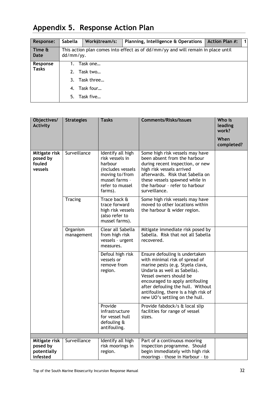# <span id="page-32-0"></span>**Appendix 5. Response Action Plan**

| Response:                | Sabella              | Workstream/s:                                                | Planning, Intelligence & Operations   Action Plan #:                             | 11 |
|--------------------------|----------------------|--------------------------------------------------------------|----------------------------------------------------------------------------------|----|
| Time &<br>Date           | dd/mm/yy.            |                                                              | This action plan comes into effect as of dd/mm/yy and will remain in place until |    |
| Response<br><b>Tasks</b> | 2.<br>3.<br>4.<br>5. | Task one<br>Task two<br>Task three<br>Task four<br>Task five |                                                                                  |    |

| Objectives/<br><b>Activity</b>                       | <b>Strategies</b>      | <b>Tasks</b>                                                                                                                           | <b>Comments/Risks/Issues</b>                                                                                                                                                                                                                                                                                      | Who is<br>leading<br>work?<br>When<br>completed? |
|------------------------------------------------------|------------------------|----------------------------------------------------------------------------------------------------------------------------------------|-------------------------------------------------------------------------------------------------------------------------------------------------------------------------------------------------------------------------------------------------------------------------------------------------------------------|--------------------------------------------------|
| Mitigate risk<br>posed by<br>fouled<br>vessels       | Surveillance           | Identify all high<br>risk vessels in<br>harbour<br>(includes vessels<br>moving to/from<br>mussel farms -<br>refer to mussel<br>farms). | Some high risk vessels may have<br>been absent from the harbour<br>during recent inspection, or new<br>high risk vessels arrived<br>afterwards. Risk that Sabella on<br>these vessels spawned while in<br>the harbour - refer to harbour<br>surveillance.                                                         |                                                  |
|                                                      | Tracing                | Trace back &<br>trace forward<br>high risk vessels<br>(also refer to<br>mussel farms).                                                 | Some high risk vessels may have<br>moved to other locations within<br>the harbour & wider region.                                                                                                                                                                                                                 |                                                  |
|                                                      | Organism<br>management | Clear all Sabella<br>from high risk<br>vessels - urgent<br>measures.                                                                   | Mitigate immediate risk posed by<br>Sabella. Risk that not all Sabella<br>recovered.                                                                                                                                                                                                                              |                                                  |
|                                                      |                        | Defoul high risk<br>vessels or<br>remove from<br>region.                                                                               | Ensure defouling is undertaken<br>with minimal risk of spread of<br>marine pests (e.g. Styela clava,<br>Undaria as well as Sabella).<br>Vessel owners should be<br>encouraged to apply antifouling<br>after defouling the hull. Without<br>antifouling, there is a high risk of<br>new UO's settling on the hull. |                                                  |
|                                                      |                        | Provide<br>infrastructure<br>for vessel hull<br>defouling &<br>antifouling.                                                            | Provide fabdock/s & local slip<br>facilities for range of vessel<br>sizes.                                                                                                                                                                                                                                        |                                                  |
| Mitigate risk<br>posed by<br>potentially<br>infested | Surveillance           | Identify all high<br>risk moorings in<br>region.                                                                                       | Part of a continuous mooring<br>inspection programme. Should<br>begin immediately with high risk<br>moorings - those in Harbour - to                                                                                                                                                                              |                                                  |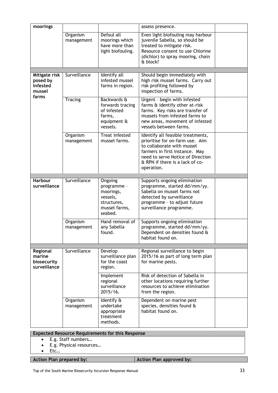| moorings                                                 |                        |                                                                                            | assess presence.                                                                                                                                                                                                           |  |
|----------------------------------------------------------|------------------------|--------------------------------------------------------------------------------------------|----------------------------------------------------------------------------------------------------------------------------------------------------------------------------------------------------------------------------|--|
|                                                          | Organism<br>management | Defoul all<br>moorings which<br>have more than<br>light biofouling.                        | Even light biofouling may harbour<br>juvenile Sabella, so should be<br>treated to mitigate risk.<br>Resource consent to use Chlorine<br>(dichlor) to spray mooring, chain<br>& block?                                      |  |
|                                                          |                        |                                                                                            |                                                                                                                                                                                                                            |  |
| Mitigate risk<br>posed by<br>infested<br>mussel<br>farms | Surveillance           | Identify all<br>infested mussel<br>farms in region.                                        | Should begin immediately with<br>high risk mussel farms. Carry out<br>risk profiling followed by<br>inspection of farms.                                                                                                   |  |
|                                                          | <b>Tracing</b>         | Backwards &<br>forwards tracing<br>of infested<br>farms,<br>equipment &<br>vessels.        | Urgent - begin with infested<br>farms & identify other at-risk<br>farms. Key risks are transfer of<br>mussels from infested farms to<br>new areas, movement of infested<br>vessels between farms.                          |  |
|                                                          | Organism<br>management | Treat infested<br>mussel farms.                                                            | Identify all feasible treatments,<br>prioritise for on-farm use. Aim<br>to collaborate with mussel<br>farmers in first instance. May<br>need to serve Notice of Direction<br>& RPN if there is a lack of co-<br>operation. |  |
| <b>Harbour</b>                                           | Surveillance           |                                                                                            |                                                                                                                                                                                                                            |  |
| surveillance                                             |                        | Ongoing<br>programme -<br>moorings,<br>vessels,<br>structures,<br>mussel farms,<br>seabed. | Supports ongoing elimination<br>programme, started dd/mm/yy.<br>Sabella on mussel farms not<br>detected by surveillance<br>programme - to adjust future<br>surveillance programme.                                         |  |
|                                                          | Organism<br>management | Hand removal of<br>any Sabella<br>tound.                                                   | Supports ongoing elimination<br>programme, started dd/mm/yy.<br>Dependent on densities found &<br>habitat found on.                                                                                                        |  |
|                                                          | Surveillance           |                                                                                            |                                                                                                                                                                                                                            |  |
| Regional<br>marine<br>biosecurity<br>surveillance        |                        | Develop<br>surveillance plan<br>for the coast<br>region.                                   | Regional surveillance to begin<br>2015/16 as part of long term plan<br>for marine pests.                                                                                                                                   |  |
|                                                          |                        | Implement<br>regional<br>surveillance<br>2015/16.                                          | Risk of detection of Sabella in<br>other locations requiring further<br>resources to achieve elimination<br>from the region.                                                                                               |  |
|                                                          | Organism<br>management | Identify &<br>undertake<br>appropriate<br>treatment<br>methods.                            | Dependent on marine pest<br>species, densities found &<br>habitat found on.                                                                                                                                                |  |

#### **Expected Resource Requirements for this Response**

- E.g. Staff numbers...
- E.g. Physical resources…
- Etc…
- **Action Plan prepared by:**  $\vert$  Action Plan approved by: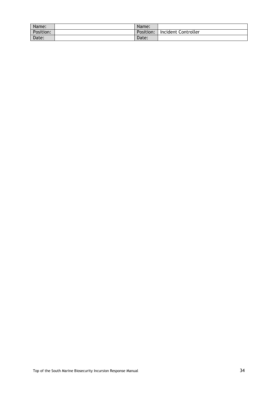| Name:     | Name:     |                     |
|-----------|-----------|---------------------|
| Position: | Position: | Incident Controller |
| Date:     | Date:     |                     |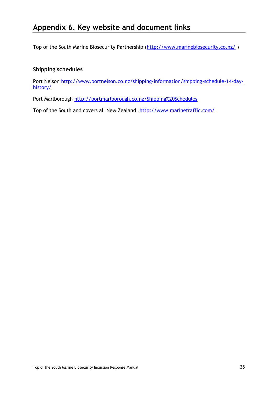<span id="page-35-0"></span>Top of the South Marine Biosecurity Partnership (http://www.marinebiosecurity.co.nz/)

## **Shipping schedules**

Port Nelson [http://www.portnelson.co.nz/shipping-information/shipping-schedule-14-day](http://www.portnelson.co.nz/shipping-information/shipping-schedule-14-day-history/)[history/](http://www.portnelson.co.nz/shipping-information/shipping-schedule-14-day-history/)

Port Marlborough<http://portmarlborough.co.nz/Shipping%20Schedules>

Top of the South and covers all New Zealand.<http://www.marinetraffic.com/>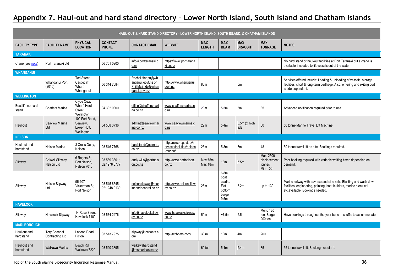## **Appendix 7. Haul-out and hard stand directory – Lower North Island, South Island and Chatham Islands**

<span id="page-36-0"></span>

| HAUL-OUT & HARD STAND DIRECTORY - LOWER NORTH ISLAND, SOUTH ISLAND, & CHATHAM ISLANDS |                                               |                                                          |                                |                                                                             |                                                                  |                             |                                                            |                              |                                                 |                                                                                                                                                                               |
|---------------------------------------------------------------------------------------|-----------------------------------------------|----------------------------------------------------------|--------------------------------|-----------------------------------------------------------------------------|------------------------------------------------------------------|-----------------------------|------------------------------------------------------------|------------------------------|-------------------------------------------------|-------------------------------------------------------------------------------------------------------------------------------------------------------------------------------|
| <b>FACILITY TYPE</b>                                                                  | <b>FACILITY NAME</b>                          | <b>PHYSICAL</b><br><b>LOCATION</b>                       | <b>CONTACT</b><br><b>PHONE</b> | <b>CONTACT EMAIL</b>                                                        | <b>WEBSITE</b>                                                   | <b>MAX</b><br><b>LENGTH</b> | <b>MAX</b><br><b>BEAM</b>                                  | <b>MAX</b><br><b>DRAUGHT</b> | <b>MAX</b><br><b>TONNAGE</b>                    | <b>NOTES</b>                                                                                                                                                                  |
| <b>TARANAKI</b>                                                                       |                                               |                                                          |                                |                                                                             |                                                                  |                             |                                                            |                              |                                                 |                                                                                                                                                                               |
| Crane (see note)                                                                      | Port Taranaki Ltd                             |                                                          | 06 751 0200                    | info@porttaranaki.c<br>0.nz                                                 | https://www.porttarana<br>ki.co.nz                               |                             |                                                            |                              |                                                 | No hard stand or haul-out facilities at Port Taranaki but a crane is<br>available if needed to lift vessels out of the water                                                  |
| <b>WHANGANUI</b>                                                                      |                                               |                                                          |                                |                                                                             |                                                                  |                             |                                                            |                              |                                                 |                                                                                                                                                                               |
|                                                                                       | Whanganui Port<br>(2010)                      | <b>Tod Street.</b><br>Castlecliff<br>Wharf.<br>Whanganui | 06 344 7684                    | Rachel.Haapu@wh<br>anganui.govt.nz or<br>Phil.McBride@whan<br>ganui.govt.nz | http://www.whanganui.<br>govt.nz                                 | 80m                         |                                                            | 5m                           |                                                 | Services offered include: Loading & unloading of vessels, storage<br>facilities, short & long-term berthage. Also, entering and exiting port<br>is tide dependant.            |
| <b>WELLINGTON</b>                                                                     |                                               |                                                          |                                |                                                                             |                                                                  |                             |                                                            |                              |                                                 |                                                                                                                                                                               |
| Boat lift, no hard<br>stand                                                           | <b>Chaffers Marina</b>                        | Clyde Quay<br>Wharf, Herd<br>Street.<br>Wellington       | 04 382 9300                    | office@chaffersmari<br>na.co.nz                                             | www.chaffersmarina.c<br>0.nz                                     | 20m                         | 5.5 <sub>m</sub>                                           | 3m                           | 35                                              | Advanced notification required prior to use.                                                                                                                                  |
| Haul-out                                                                              | Seaview Marina<br>ht                          | 100 Port Road,<br>Seaview,<br>Lower Hutt,<br>Wellington  | 04 568 3736                    | admin@seaviewmar<br>ina.co.nz                                               | www.seaviewmarina.c<br>0.nz                                      | 22m                         | 5.4 <sub>m</sub>                                           | 3.5m @ high<br>tide          | $50\,$                                          | 50 tonne Marine Travel Lift Machine                                                                                                                                           |
| <b>NELSON</b>                                                                         |                                               |                                                          |                                |                                                                             |                                                                  |                             |                                                            |                              |                                                 |                                                                                                                                                                               |
| Haul-out and<br>hardstand                                                             | Nelson Marina                                 | 3 Cross Quay.<br>Nelson                                  | 03 546 7768                    | hardstand@nelmac.<br>CO.NZ                                                  | http://nelson.govt.nz/s<br>ervices/facilities/nelson<br>-marina/ | 23m                         | 5.8 <sub>m</sub>                                           | 3m                           | 48                                              | 50 tonne travel lift on site. Bookings required.                                                                                                                              |
| Slipway                                                                               | Calwell Slipway<br>Nelson Ltd                 | 6 Rogers St,<br>Port Nelson,<br>Nelson 7010              | 03 539 3801:<br>027 278 3777   | andy.wills@portnels<br>on.co.nz                                             | http://www.portnelson.<br>CO.NZ                                  | Max:75m<br>Min: 18m         | 13 <sub>m</sub>                                            | 5.5m                         | Max: 2500<br>displacement<br>tonnes<br>Min: 100 | Prior booking required with variable waiting times depending on<br>demand.                                                                                                    |
| Slipway                                                                               | Nelson Slipway<br>Ltd                         | 95-107<br>Vickerman St.<br>Port Nelson                   | 03 545 6645;<br>021 248 9139   | nelsonslipway@mar<br>ineandgeneral.co.nz                                    | http://www.nelsonslipw<br>ay.co.nz                               | 25m                         | 6.8m<br>boat<br>cradle.<br>Flat<br>bottom<br>barge<br>9.5m | 3.2 <sub>m</sub>             | up to 130                                       | Marine railway with traverse and side rails. Blasting and wash down<br>facilities, engineering, painting, boat builders, marine electrical<br>etc.available. Bookings needed. |
| <b>HAVELOCK</b>                                                                       |                                               |                                                          |                                |                                                                             |                                                                  |                             |                                                            |                              |                                                 |                                                                                                                                                                               |
| Slipway                                                                               | <b>Havelock Slipway</b>                       | 14 Rose Street<br>Havelock 7100                          | 03 574 2476                    | info@havelockslipw<br>ay.co.nz                                              | www.havelockslipway.<br>co.nz                                    | 50m                         | $-7.5m$                                                    | 2.5m                         | Mono 120<br>ton, Barge<br>200 ton               | Have bookings throughout the year but can shuffle to accommodate.                                                                                                             |
| <b>MARLBOROUGH</b>                                                                    |                                               |                                                          |                                |                                                                             |                                                                  |                             |                                                            |                              |                                                 |                                                                                                                                                                               |
| Haul out and<br>hardstand                                                             | <b>Tory Channel</b><br><b>Contracting Ltd</b> | Lagoon Road,<br>Picton                                   | 03 573 7975                    | slipway@tccboats.c<br>om                                                    | http://tccboats.com/                                             | 30 <sub>m</sub>             | 10 <sub>m</sub>                                            | 4m                           | 200                                             |                                                                                                                                                                               |
| Haul-out and<br>hardstand                                                             | Waikawa Marina                                | Beach Rd,<br>Waikawa 7220                                | 03 520 3395                    | waikawahardstand<br>@msmarinas.co.nz                                        |                                                                  | 60 feet                     | 5.1 <sub>m</sub>                                           | 2.4 <sub>m</sub>             | 35                                              | 35 tonne travel lift. Bookings required.                                                                                                                                      |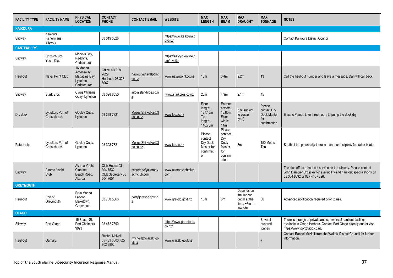| <b>FACILITY TYPE</b> | <b>FACILITY NAME</b>               | <b>PHYSICAL</b><br><b>LOCATION</b>                                     | <b>CONTACT</b><br><b>PHONE</b>                             | <b>CONTACT EMAIL</b>                                   | <b>WEBSITE</b>                         | <b>MAX</b><br><b>LENGTH</b>                                     | <b>MAX</b><br><b>BEAM</b>                                             | <b>MAX</b><br><b>DRAUGHT</b>                                               | <b>MAX</b><br><b>TONNAGE</b>                                | <b>NOTES</b>                                                                                                                                                               |
|----------------------|------------------------------------|------------------------------------------------------------------------|------------------------------------------------------------|--------------------------------------------------------|----------------------------------------|-----------------------------------------------------------------|-----------------------------------------------------------------------|----------------------------------------------------------------------------|-------------------------------------------------------------|----------------------------------------------------------------------------------------------------------------------------------------------------------------------------|
| <b>KAIKOURA</b>      |                                    |                                                                        |                                                            |                                                        |                                        |                                                                 |                                                                       |                                                                            |                                                             |                                                                                                                                                                            |
| Slipway              | Kaikoura<br>Fishermans<br>Slipway  |                                                                        | 03 319 5026                                                |                                                        | https://www.kaikoura.q<br>ovt.nz/      |                                                                 |                                                                       |                                                                            |                                                             | Contact Kaikoura District Council                                                                                                                                          |
| <b>CANTERBURY</b>    |                                    |                                                                        |                                                            |                                                        |                                        |                                                                 |                                                                       |                                                                            |                                                             |                                                                                                                                                                            |
| Slipway              | Christchurch<br>Yacht Club         | Moncks Bay,<br>Redcliffs.<br>Christchurch                              |                                                            |                                                        | https://sailcyc.wixsite.c<br>om/mysite |                                                                 |                                                                       |                                                                            |                                                             |                                                                                                                                                                            |
| Haul-out             | <b>Naval Point Club</b>            | 16 Marina<br>Accessway,<br>Magazine Bay,<br>Lyttelton,<br>Christchurch | Office: 03 328<br>7029<br>Haul-out: 03 328<br>8067         | haulout@navalpoint.<br>$\frac{\text{co.nz}}{\text{c}}$ | www.navalpoint.co.nz                   | 13m                                                             | 3.4 <sub>m</sub>                                                      | 2.2 <sub>m</sub>                                                           | 13                                                          | Call the haul-out number and leave a message. Dan will call back.                                                                                                          |
| Slipway              | <b>Stark Bros</b>                  | <b>Cyrus Williams</b><br>Quay, Lyttelton                               | 03 328 8550                                                | info@starkbros.co.n<br>$\underline{\mathsf{z}}$        | www.starkbros.co.nz                    | 20m                                                             | 4.9 <sub>m</sub>                                                      | 2.1 <sub>m</sub>                                                           | 45                                                          |                                                                                                                                                                            |
| Dry dock             | Lyttelton, Port of<br>Christchurch | Godley Quay,<br>Lyttelton                                              | 03 328 7821                                                | Moses.Shirkolkar@l<br>pc.co.nz                         | www.lpc.co.nz                          | Floor<br>length:<br>137.15m<br>Top<br>length:<br>146.75m        | Entranc<br>e width:<br>18.80m<br>Floor<br>width:<br>14m               | 5.8 (subject<br>to vessel<br>type)                                         | Please<br>contact Dry<br>Dock Master<br>for<br>confirmation | Electric Pumps take three hours to pump the dock dry.                                                                                                                      |
| Patent slip          | Lyttelton, Port of<br>Christchurch | Godley Quay,<br>Lyttelton                                              | 03 328 7821                                                | Moses.Shirkolkar@l<br>pc.co.nz                         | www.lpc.co.nz                          | Please<br>contact<br>Dry Dock<br>Master for<br>confirmati<br>on | Please<br>contact<br>Dry<br>Dock<br>Master<br>for<br>confirm<br>ation | 3m                                                                         | 150 Metric<br>Ton                                           | South of the patent slip there is a one-lane slipway for trailer boats.                                                                                                    |
| Slipway              | Akaroa Yacht<br>Club               | Akaroa Yacht<br>Club Inc.<br>Beach Road,<br>Akaroa                     | Club House 03<br>304 7532<br>Club Secretary 03<br>304 7651 | secretary@akaroay<br>achtclub.com                      | www.akaroayachtclub.<br>com            |                                                                 |                                                                       |                                                                            |                                                             | The club offers a haul out service on the slipway. Please contact<br>John Dampier Crossley for availability and haul out specifications on<br>03 304 8092 or 027 445 4828. |
| <b>GREYMOUTH</b>     |                                    |                                                                        |                                                            |                                                        |                                        |                                                                 |                                                                       |                                                                            |                                                             |                                                                                                                                                                            |
| Haul-out             | Port of<br>Greymouth               | Erua Moana<br>Lagoon,<br>Blaketown,<br>Greymouth                       | 03 768 5666                                                | port@greydc.govt.n<br>$\underline{\mathsf{z}}$         | www.greydc.govt.nz                     | 18m                                                             | 6 <sub>m</sub>                                                        | Depends on<br>the lagoon<br>depth at the<br>time, $\sim$ 3m at<br>low tide | 80                                                          | Advanced notification required prior to use.                                                                                                                               |
| <b>OTAGO</b>         |                                    |                                                                        |                                                            |                                                        |                                        |                                                                 |                                                                       |                                                                            |                                                             |                                                                                                                                                                            |
| Slipway              | Port Otago                         | 15 Beach St.<br>Port Chalmers<br>9023                                  | 03 472 7890                                                |                                                        | https://www.portotago.<br>co.nz/       |                                                                 |                                                                       |                                                                            | Several<br>hundred<br>tonnes                                | There is a range of private and commercial haul out facilities<br>available in Otago Harbour. Contact Port Otago directly and/or visit<br>https://www.portotago.co.nz/     |
| Haul-out             | Oamaru                             |                                                                        | Rachel McNeill<br>03 433 0300; 027<br>702 3802             | rmcneill@waitaki.go<br>vt.nz                           | www.waitaki.govt.nz                    |                                                                 |                                                                       |                                                                            | $\overline{7}$                                              | Contact Rachel McNeill from the Waitaki District Council for further<br>information.                                                                                       |